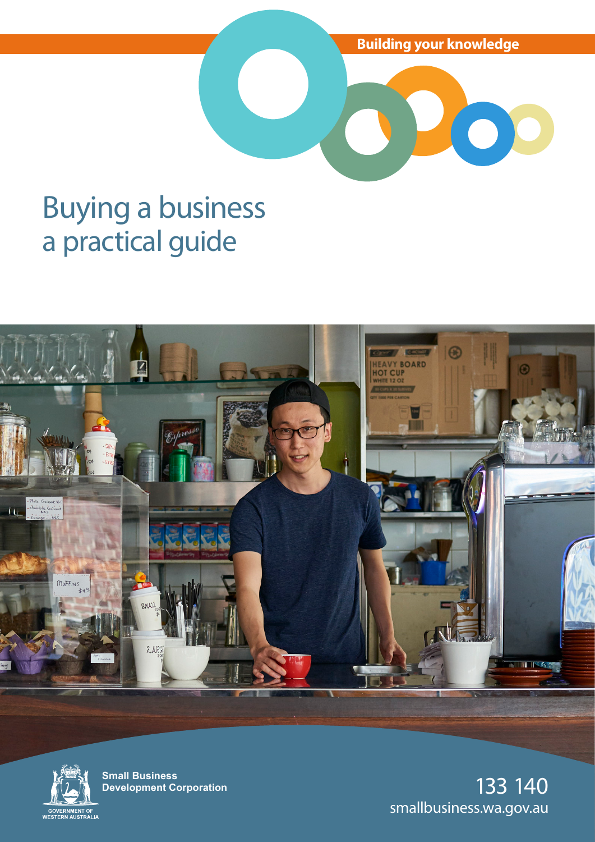**Building your knowledge**

O

# Buying a business a practical guide





**Small Business Development Corporation**

133 140 smallbusiness.wa.gov.au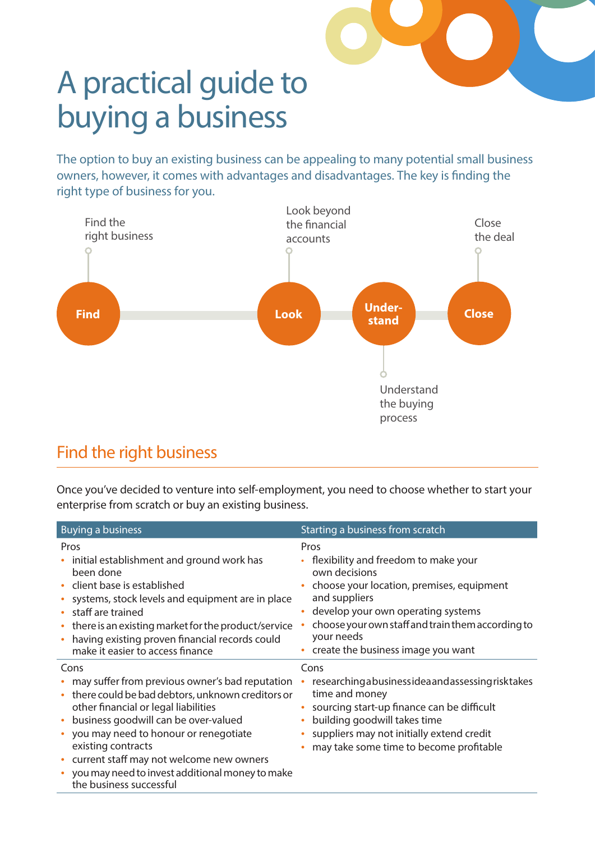

# A practical guide to buying a business

The option to buy an existing business can be appealing to many potential small business owners, however, it comes with advantages and disadvantages. The key is finding the right type of business for you.



# Find the right business

Once you've decided to venture into self-employment, you need to choose whether to start your enterprise from scratch or buy an existing business.

| <b>Buying a business</b>                                                                                                                                                                                                                                                                                                                                                                                        | Starting a business from scratch                                                                                                                                                                                                                                           |
|-----------------------------------------------------------------------------------------------------------------------------------------------------------------------------------------------------------------------------------------------------------------------------------------------------------------------------------------------------------------------------------------------------------------|----------------------------------------------------------------------------------------------------------------------------------------------------------------------------------------------------------------------------------------------------------------------------|
| Pros<br>initial establishment and ground work has<br>been done<br>• client base is established<br>systems, stock levels and equipment are in place<br>staff are trained<br>• there is an existing market for the product/service<br>having existing proven financial records could<br>$\bullet$<br>make it easier to access finance                                                                             | Pros<br>flexibility and freedom to make your<br>own decisions<br>choose your location, premises, equipment<br>and suppliers<br>develop your own operating systems<br>choose your own staff and train them according to<br>your needs<br>create the business image you want |
| Cons<br>• may suffer from previous owner's bad reputation<br>there could be bad debtors, unknown creditors or<br>٠<br>other financial or legal liabilities<br>business goodwill can be over-valued<br>$\bullet$<br>you may need to honour or renegotiate<br>٠<br>existing contracts<br>• current staff may not welcome new owners<br>you may need to invest additional money to make<br>the business successful | Cons<br>researching a businessidea and assessing risk takes<br>time and money<br>sourcing start-up finance can be difficult<br>building goodwill takes time<br>suppliers may not initially extend credit<br>may take some time to become profitable                        |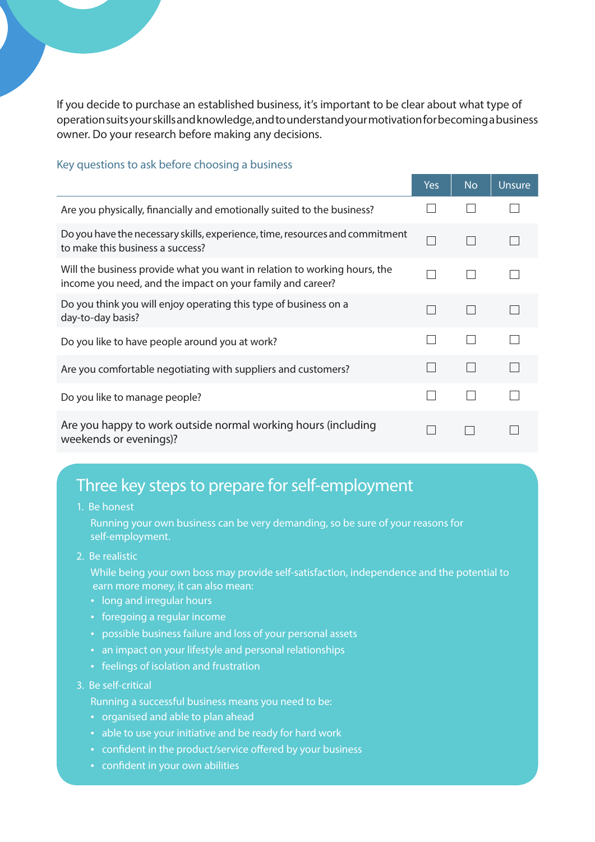If you decide to purchase an established business, it's important to be clear about what type of operation suits your skills and knowledge, and to understand your motivation for becoming a business owner. Do your research before making any decisions.

#### Key questions to ask before choosing a business

|                                                                                                                                         | Yes | <b>No</b> | <b>Unsure</b> |
|-----------------------------------------------------------------------------------------------------------------------------------------|-----|-----------|---------------|
| Are you physically, financially and emotionally suited to the business?                                                                 |     |           |               |
| Do you have the necessary skills, experience, time, resources and commitment<br>to make this business a success?                        |     |           |               |
| Will the business provide what you want in relation to working hours, the<br>income you need, and the impact on your family and career? |     |           |               |
| Do you think you will enjoy operating this type of business on a<br>day-to-day basis?                                                   |     |           |               |
| Do you like to have people around you at work?                                                                                          |     |           |               |
| Are you comfortable negotiating with suppliers and customers?                                                                           |     |           |               |
| Do you like to manage people?                                                                                                           |     |           |               |
| Are you happy to work outside normal working hours (including<br>weekends or evenings)?                                                 |     |           |               |

# Three key steps to prepare for self-employment

1. Be honest

 Running your own business can be very demanding, so be sure of your reasons for self-employment.

2. Be realistic

 While being your own boss may provide self-satisfaction, independence and the potential to earn more money, it can also mean:

- long and irregular hours
- foregoing a regular income
- possible business failure and loss of your personal assets
- an impact on your lifestyle and personal relationships
- feelings of isolation and frustration
- 3. Be self-critical
	- Running a successful business means you need to be:
	- organised and able to plan ahead
	- able to use your initiative and be ready for hard work
	- confident in the product/service offered by your business
	- confident in your own abilities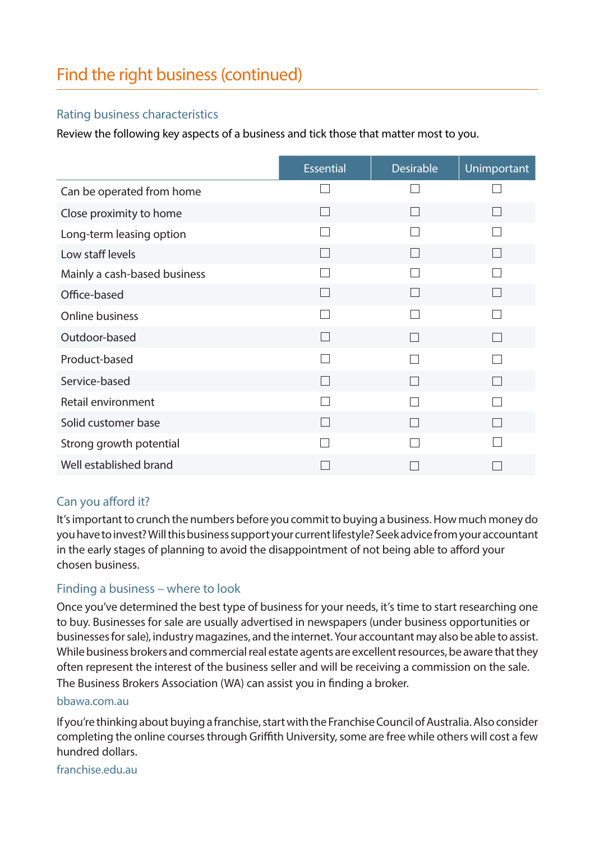### Rating business characteristics

Review the following key aspects of a business and tick those that matter most to you.

|                              | <b>Essential</b> | <b>Desirable</b>         | Unimportant              |
|------------------------------|------------------|--------------------------|--------------------------|
| Can be operated from home    |                  |                          |                          |
| Close proximity to home      |                  | in a                     |                          |
| Long-term leasing option     |                  |                          |                          |
| Low staff levels             |                  | L                        |                          |
| Mainly a cash-based business |                  |                          |                          |
| Office-based                 |                  | $\mathbf{L}$             |                          |
| Online business              |                  |                          |                          |
| Outdoor-based                |                  | $\overline{\phantom{0}}$ | <b>The State</b>         |
| Product-based                |                  |                          |                          |
| Service-based                |                  |                          |                          |
| Retail environment           |                  |                          |                          |
| Solid customer base          |                  |                          | $\overline{\phantom{a}}$ |
| Strong growth potential      |                  |                          |                          |
| Well established brand       |                  |                          |                          |

# Can you afford it?

It's important to crunch the numbers before you commit to buying a business. How much money do you have to invest? Will this business support your current lifestyle? Seek advice from your accountant in the early stages of planning to avoid the disappointment of not being able to afford your chosen business.

### Finding a business – where to look

Once you've determined the best type of business for your needs, it's time to start researching one to buy. Businesses for sale are usually advertised in newspapers (under business opportunities or businesses for sale), industry magazines, and the internet. Your accountant may also be able to assist. While business brokers and commercial real estate agents are excellent resources, be aware that they often represent the interest of the business seller and will be receiving a commission on the sale. The Business Brokers Association (WA) can assist you in finding a broker.

### bbawa.com.au

If you're thinking about buying a franchise, start with the Franchise Council of Australia. Also consider completing the online courses through Griffith University, some are free while others will cost a few hundred dollars.

franchise.edu.au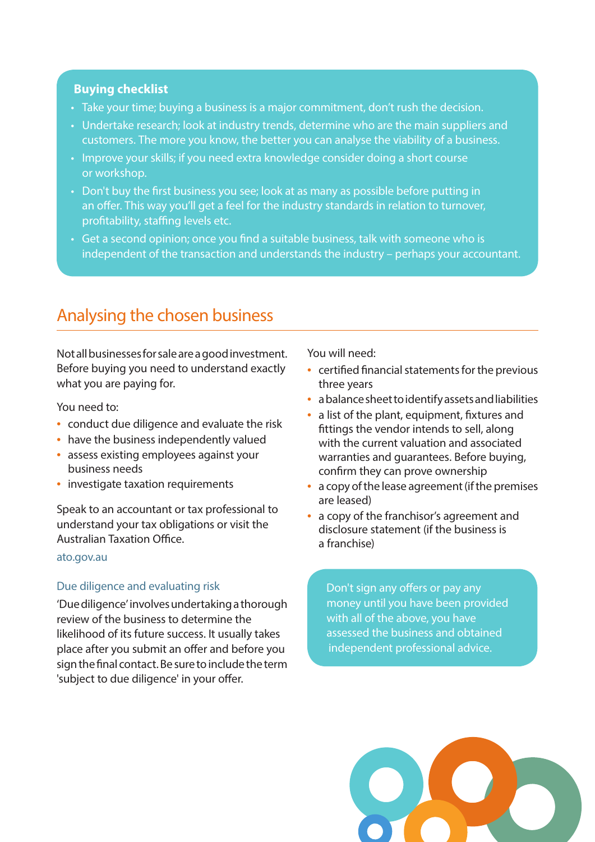### **Buying checklist**

- Take your time; buying a business is a major commitment, don't rush the decision.
- Undertake research; look at industry trends, determine who are the main suppliers and customers. The more you know, the better you can analyse the viability of a business.
- Improve your skills; if you need extra knowledge consider doing a short course or workshop.
- Don't buy the first business you see; look at as many as possible before putting in an offer. This way you'll get a feel for the industry standards in relation to turnover, profitability, staffing levels etc.
- Get a second opinion; once you find a suitable business, talk with someone who is independent of the transaction and understands the industry – perhaps your accountant.

# Analysing the chosen business

Not all businesses for sale are a good investment. Before buying you need to understand exactly what you are paying for.

You need to:

- conduct due diligence and evaluate the risk
- have the business independently valued
- assess existing employees against your business needs
- investigate taxation requirements

Speak to an accountant or tax professional to understand your tax obligations or visit the Australian Taxation Office.

#### ato.gov.au

#### Due diligence and evaluating risk

'Due diligence' involves undertaking a thorough review of the business to determine the likelihood of its future success. It usually takes place after you submit an offer and before you sign the final contact. Be sure to include the term 'subject to due diligence' in your offer.

You will need:

- certified financial statements for the previous three years
- a balance sheet to identify assets and liabilities
- a list of the plant, equipment, fixtures and fittings the vendor intends to sell, along with the current valuation and associated warranties and guarantees. Before buying, confirm they can prove ownership
- a copy of the lease agreement (if the premises are leased)
- a copy of the franchisor's agreement and disclosure statement (if the business is a franchise)

Don't sign any offers or pay any money until you have been provided with all of the above, you have assessed the business and obtained independent professional advice.

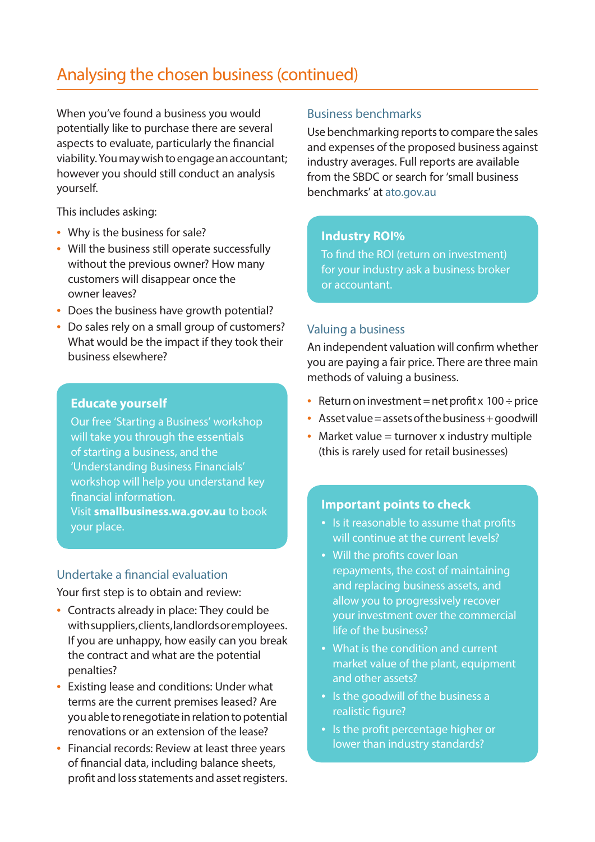# Analysing the chosen business (continued)

When you've found a business you would potentially like to purchase there are several aspects to evaluate, particularly the financial viability. You may wish to engage an accountant; however you should still conduct an analysis yourself.

This includes asking:

- Why is the business for sale?
- Will the business still operate successfully without the previous owner? How many customers will disappear once the owner leaves?
- Does the business have growth potential?
- Do sales rely on a small group of customers? What would be the impact if they took their business elsewhere?

#### **Educate yourself**

Our free 'Starting a Business' workshop will take you through the essentials of starting a business, and the 'Understanding Business Financials' workshop will help you understand key financial information. Visit **smallbusiness.wa.gov.au** to book

your place.

### Undertake a financial evaluation

Your first step is to obtain and review:

- Contracts already in place: They could be with suppliers, clients, landlords or employees. If you are unhappy, how easily can you break the contract and what are the potential penalties?
- Existing lease and conditions: Under what terms are the current premises leased? Are you able to renegotiate in relation to potential renovations or an extension of the lease?
- Financial records: Review at least three years of financial data, including balance sheets, profit and loss statements and asset registers.

#### Business benchmarks

Use benchmarking reports to compare the sales and expenses of the proposed business against industry averages. Full reports are available from the SBDC or search for 'small business benchmarks' at ato.gov.au

#### **Industry ROI%**

To find the ROI (return on investment) for your industry ask a business broker or accountant.

### Valuing a business

An independent valuation will confirm whether you are paying a fair price. There are three main methods of valuing a business.

- Return on investment = net profit  $x$  100 ÷ price
- Asset value = assets of the business + goodwill
- Market value  $=$  turnover x industry multiple (this is rarely used for retail businesses)

#### **Important points to check**

- Is it reasonable to assume that profits will continue at the current levels?
- Will the profits cover loan repayments, the cost of maintaining and replacing business assets, and allow you to progressively recover your investment over the commercial life of the business?
- What is the condition and current market value of the plant, equipment and other assets?
- Is the goodwill of the business a realistic figure?
- Is the profit percentage higher or lower than industry standards?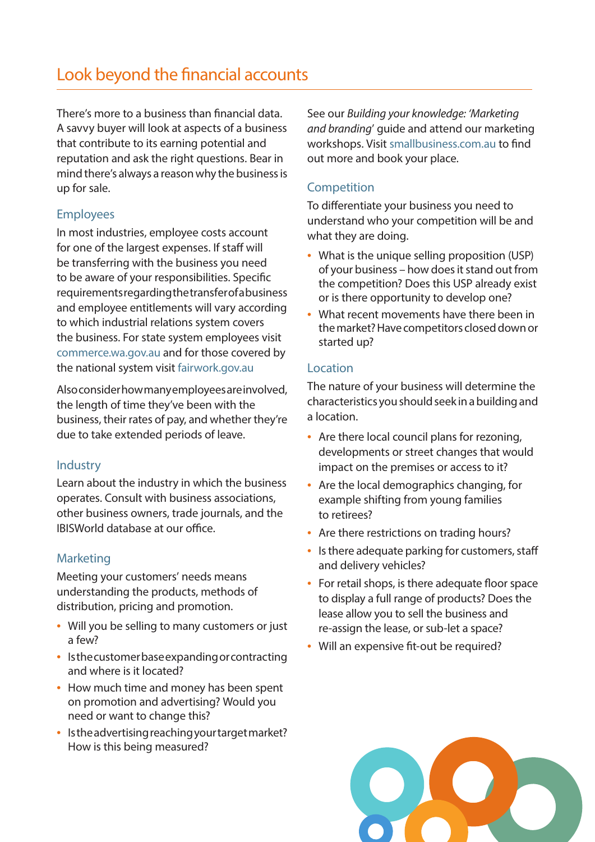# Look beyond the financial accounts

There's more to a business than financial data. A savvy buyer will look at aspects of a business that contribute to its earning potential and reputation and ask the right questions. Bear in mind there's always a reason why the business is up for sale.

# Employees

In most industries, employee costs account for one of the largest expenses. If staff will be transferring with the business you need to be aware of your responsibilities. Specific requirements regarding the transfer of a business and employee entitlements will vary according to which industrial relations system covers the business. For state system employees visit commerce.wa.gov.au and for those covered by the national system visit fairwork.gov.au

Also consider how many employees are involved, the length of time they've been with the business, their rates of pay, and whether they're due to take extended periods of leave.

# Industry

Learn about the industry in which the business operates. Consult with business associations, other business owners, trade journals, and the IBISWorld database at our office.

# Marketing

Meeting your customers' needs means understanding the products, methods of distribution, pricing and promotion.

- Will you be selling to many customers or just a few?
- Is the customer base expanding or contracting and where is it located?
- How much time and money has been spent on promotion and advertising? Would you need or want to change this?
- Is the advertising reaching your target market? How is this being measured?

See our *Building your knowledge: 'Marketing and branding*' guide and attend our marketing workshops. Visit smallbusiness.com.au to find out more and book your place.

# **Competition**

To differentiate your business you need to understand who your competition will be and what they are doing.

- What is the unique selling proposition (USP) of your business – how does it stand out from the competition? Does this USP already exist or is there opportunity to develop one?
- What recent movements have there been in the market? Have competitors closed down or started up?

### Location

The nature of your business will determine the characteristics you should seek in a building and a location.

- Are there local council plans for rezoning, developments or street changes that would impact on the premises or access to it?
- Are the local demographics changing, for example shifting from young families to retirees?
- Are there restrictions on trading hours?
- Is there adequate parking for customers, staff and delivery vehicles?
- For retail shops, is there adequate floor space to display a full range of products? Does the lease allow you to sell the business and re-assign the lease, or sub-let a space?
- Will an expensive fit-out be required?

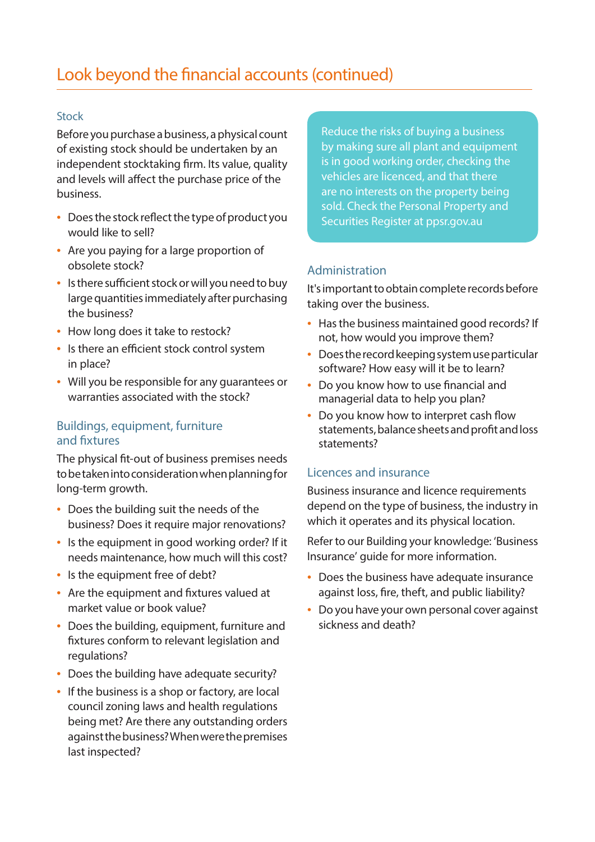## Stock

Before you purchase a business, a physical count of existing stock should be undertaken by an independent stocktaking firm. Its value, quality and levels will affect the purchase price of the business.

- Does the stock reflect the type of product you would like to sell?
- Are you paying for a large proportion of obsolete stock?
- Is there sufficient stock or will you need to buy large quantities immediately after purchasing the business?
- How long does it take to restock?
- Is there an efficient stock control system in place?
- Will you be responsible for any guarantees or warranties associated with the stock?

## Buildings, equipment, furniture and fixtures

The physical fit-out of business premises needs to be taken into consideration when planning for long-term growth.

- Does the building suit the needs of the business? Does it require major renovations?
- Is the equipment in good working order? If it needs maintenance, how much will this cost?
- Is the equipment free of debt?
- Are the equipment and fixtures valued at market value or book value?
- Does the building, equipment, furniture and fixtures conform to relevant legislation and regulations?
- Does the building have adequate security?
- If the business is a shop or factory, are local council zoning laws and health regulations being met? Are there any outstanding orders against the business? When were the premises last inspected?

Reduce the risks of buying a business by making sure all plant and equipment is in good working order, checking the vehicles are licenced, and that there are no interests on the property being sold. Check the Personal Property and Securities Register at ppsr.gov.au

## Administration

It's important to obtain complete records before taking over the business.

- Has the business maintained good records? If not, how would you improve them?
- Does the record keeping system use particular software? How easy will it be to learn?
- Do you know how to use financial and managerial data to help you plan?
- Do you know how to interpret cash flow statements, balance sheets and profit and loss statements?

# Licences and insurance

Business insurance and licence requirements depend on the type of business, the industry in which it operates and its physical location.

Refer to our Building your knowledge: 'Business Insurance' guide for more information.

- Does the business have adequate insurance against loss, fire, theft, and public liability?
- Do you have your own personal cover against sickness and death?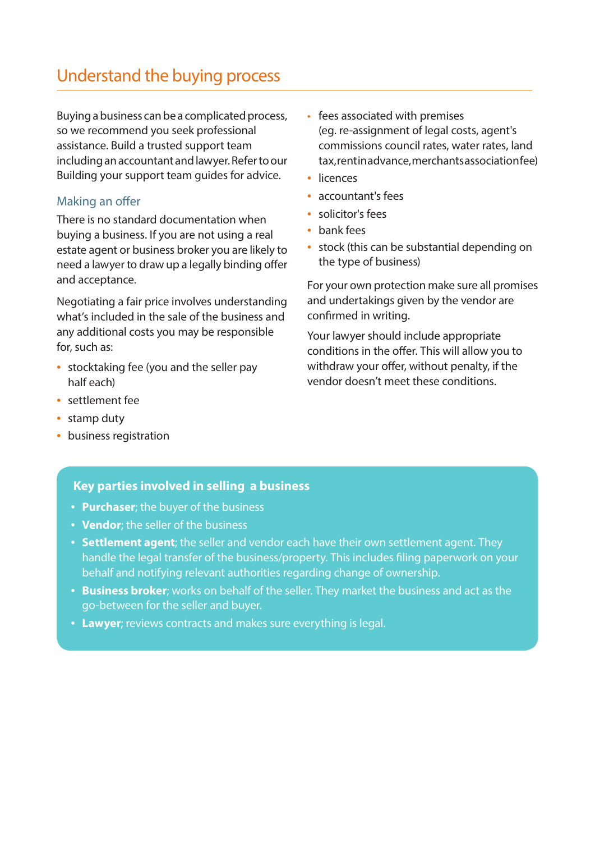# Understand the buying process

Buying a business can be a complicated process, so we recommend you seek professional assistance. Build a trusted support team including an accountant and lawyer. Refer to our Building your support team guides for advice.

### Making an offer

There is no standard documentation when buying a business. If you are not using a real estate agent or business broker you are likely to need a lawyer to draw up a legally binding offer and acceptance.

Negotiating a fair price involves understanding what's included in the sale of the business and any additional costs you may be responsible for, such as:

- stocktaking fee (you and the seller pay half each)
- settlement fee
- stamp duty
- business registration
- fees associated with premises (eg. re-assignment of legal costs, agent's commissions council rates, water rates, land tax, rentinad vance, merchants association fee)
- licences
- accountant's fees
- solicitor's fees
- bank fees
- stock (this can be substantial depending on the type of business)

For your own protection make sure all promises and undertakings given by the vendor are confirmed in writing.

Your lawyer should include appropriate conditions in the offer. This will allow you to withdraw your offer, without penalty, if the vendor doesn't meet these conditions.

#### **Key parties involved in selling a business**

- **Purchaser**; the buyer of the business
- **Vendor**; the seller of the business
- **Settlement agent**; the seller and vendor each have their own settlement agent. They handle the legal transfer of the business/property. This includes filing paperwork on your behalf and notifying relevant authorities regarding change of ownership.
- **Business broker**; works on behalf of the seller. They market the business and act as the go-between for the seller and buyer.
- **Lawyer**; reviews contracts and makes sure everything is legal.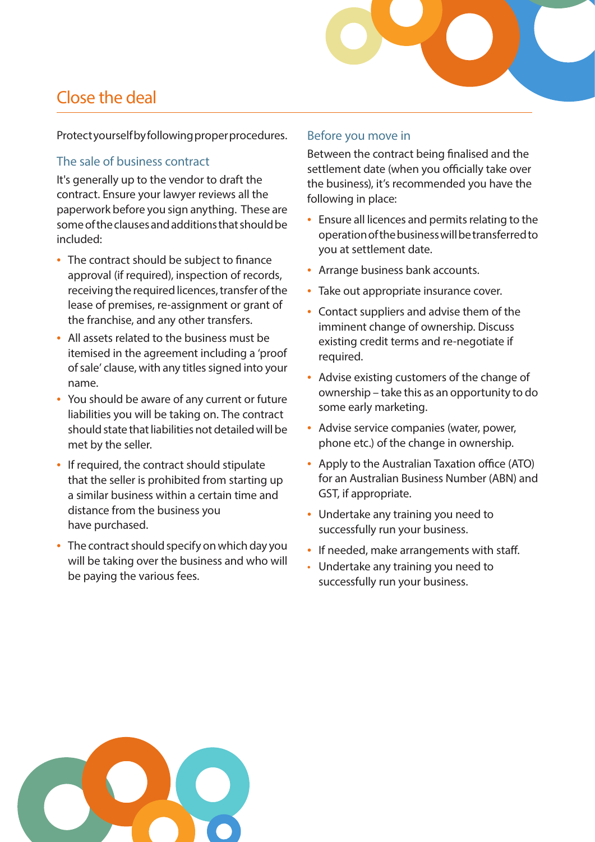# Close the deal

Protect yourself by following proper procedures.

### The sale of business contract

It's generally up to the vendor to draft the contract. Ensure your lawyer reviews all the paperwork before you sign anything. These are some of the clauses and additions that should be included:

- The contract should be subject to finance approval (if required), inspection of records, receiving the required licences, transfer of the lease of premises, re-assignment or grant of the franchise, and any other transfers.
- All assets related to the business must be itemised in the agreement including a 'proof of sale' clause, with any titles signed into your name.
- You should be aware of any current or future liabilities you will be taking on. The contract should state that liabilities not detailed will be met by the seller.
- If required, the contract should stipulate that the seller is prohibited from starting up a similar business within a certain time and distance from the business you have purchased.
- The contract should specify on which day you will be taking over the business and who will be paying the various fees.

### Before you move in

Between the contract being finalised and the settlement date (when you officially take over the business), it's recommended you have the following in place:

- Ensure all licences and permits relating to the operation of the business will be transferred to you at settlement date.
- Arrange business bank accounts.
- Take out appropriate insurance cover.
- Contact suppliers and advise them of the imminent change of ownership. Discuss existing credit terms and re-negotiate if required.
- Advise existing customers of the change of ownership – take this as an opportunity to do some early marketing.
- Advise service companies (water, power, phone etc.) of the change in ownership.
- Apply to the Australian Taxation office (ATO) for an Australian Business Number (ABN) and GST, if appropriate.
- Undertake any training you need to successfully run your business.
- If needed, make arrangements with staff.
- Undertake any training you need to successfully run your business.

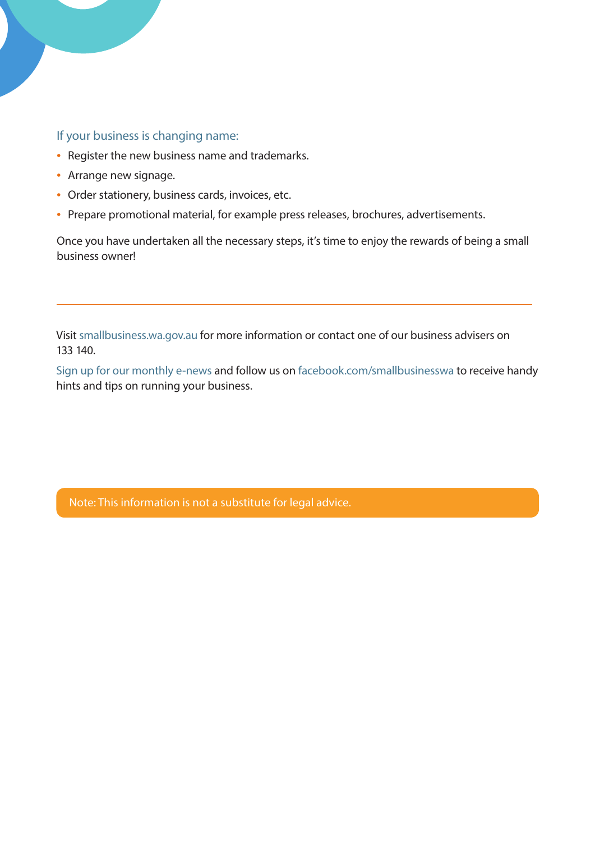### If your business is changing name:

- Register the new business name and trademarks.
- Arrange new signage.
- Order stationery, business cards, invoices, etc.
- Prepare promotional material, for example press releases, brochures, advertisements.

Once you have undertaken all the necessary steps, it's time to enjoy the rewards of being a small business owner!

Visit smallbusiness.wa.gov.au for more information or contact one of our business advisers on 133 140.

Sign up for our monthly e-news and follow us on facebook.com/smallbusinesswa to receive handy hints and tips on running your business.

Note: This information is not a substitute for legal advice.